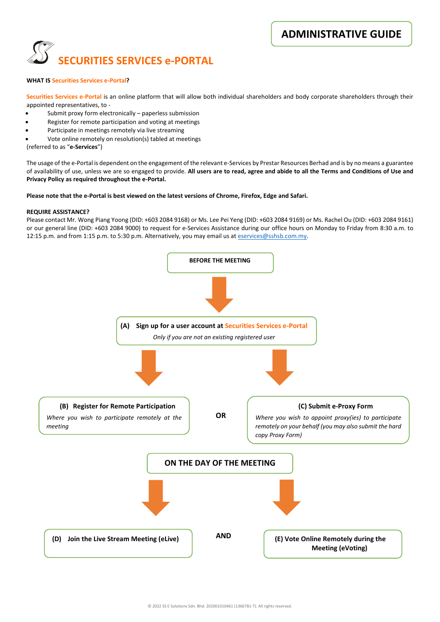**ADMINISTRATIVE GUIDE** 



## **WHAT IS Securities Services e-Portal?**

**Securities Services e-Portal** is an online platform that will allow both individual shareholders and body corporate shareholders through their appointed representatives, to -

- Submit proxy form electronically paperless submission
- Register for remote participation and voting at meetings
- Participate in meetings remotely via live streaming
- Vote online remotely on resolution(s) tabled at meetings

(referred to as "**e-Services**")

The usage of the e-Portal is dependent on the engagement of the relevant e-Services by Prestar Resources Berhad and is by no means a guarantee of availability of use, unless we are so engaged to provide. **All users are to read, agree and abide to all the Terms and Conditions of Use and Privacy Policy as required throughout the e-Portal.**

### **Please note that the e-Portal is best viewed on the latest versions of Chrome, Firefox, Edge and Safari.**

### **REQUIRE ASSISTANCE?**

Please contact Mr. Wong Piang Yoong (DID: +603 2084 9168) or Ms. Lee Pei Yeng (DID: +603 2084 9169) or Ms. Rachel Ou (DID: +603 2084 9161) or our general line (DID: +603 2084 9000) to request for e-Services Assistance during our office hours on Monday to Friday from 8:30 a.m. to 12:15 p.m. and from 1:15 p.m. to 5:30 p.m. Alternatively, you may email us at [eservices@sshsb.com.my.](mailto:eservices@sshsb.com.my)

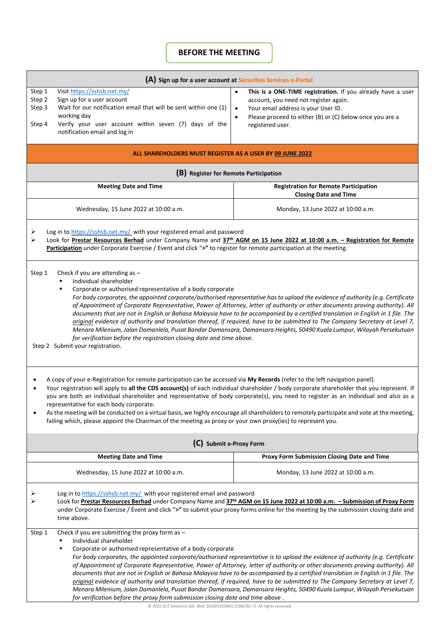# **BEFORE THE MEETING**

| (A) Sign up for a user account at Securities Services e-Portal                                                                                                                                                                                                                                                                                                                                                                                                                                                                                                                                                                                                                                                                                                                                                                                                                                                      |                                                                                                                                              |                                                                                                                                                                                                                                                                                                                                                                                                                                                                                                                                                                                                                                                                |  |
|---------------------------------------------------------------------------------------------------------------------------------------------------------------------------------------------------------------------------------------------------------------------------------------------------------------------------------------------------------------------------------------------------------------------------------------------------------------------------------------------------------------------------------------------------------------------------------------------------------------------------------------------------------------------------------------------------------------------------------------------------------------------------------------------------------------------------------------------------------------------------------------------------------------------|----------------------------------------------------------------------------------------------------------------------------------------------|----------------------------------------------------------------------------------------------------------------------------------------------------------------------------------------------------------------------------------------------------------------------------------------------------------------------------------------------------------------------------------------------------------------------------------------------------------------------------------------------------------------------------------------------------------------------------------------------------------------------------------------------------------------|--|
| Visit https://sshsb.net.my/<br>Step 1<br>Sign up for a user account<br>Step 2<br>Step 3<br>working day<br>Step 4<br>notification email and log in                                                                                                                                                                                                                                                                                                                                                                                                                                                                                                                                                                                                                                                                                                                                                                   | Wait for our notification email that will be sent within one (1)<br>Verify your user account within seven (7) days of the                    | This is a ONE-TIME registration. If you already have a user<br>$\bullet$<br>account, you need not register again.<br>Your email address is your User ID.<br>$\bullet$<br>Please proceed to either (B) or (C) below once you are a<br>$\bullet$<br>registered user.                                                                                                                                                                                                                                                                                                                                                                                             |  |
| ALL SHAREHOLDERS MUST REGISTER AS A USER BY 09 JUNE 2022                                                                                                                                                                                                                                                                                                                                                                                                                                                                                                                                                                                                                                                                                                                                                                                                                                                            |                                                                                                                                              |                                                                                                                                                                                                                                                                                                                                                                                                                                                                                                                                                                                                                                                                |  |
| (B) Register for Remote Participation                                                                                                                                                                                                                                                                                                                                                                                                                                                                                                                                                                                                                                                                                                                                                                                                                                                                               |                                                                                                                                              |                                                                                                                                                                                                                                                                                                                                                                                                                                                                                                                                                                                                                                                                |  |
| <b>Meeting Date and Time</b>                                                                                                                                                                                                                                                                                                                                                                                                                                                                                                                                                                                                                                                                                                                                                                                                                                                                                        |                                                                                                                                              | <b>Registration for Remote Participation</b><br><b>Closing Date and Time</b>                                                                                                                                                                                                                                                                                                                                                                                                                                                                                                                                                                                   |  |
| Wednesday, 15 June 2022 at 10:00 a.m.                                                                                                                                                                                                                                                                                                                                                                                                                                                                                                                                                                                                                                                                                                                                                                                                                                                                               |                                                                                                                                              | Monday, 13 June 2022 at 10:00 a.m.                                                                                                                                                                                                                                                                                                                                                                                                                                                                                                                                                                                                                             |  |
| Log in to https://sshsb.net.my/ with your registered email and password<br>➤<br>Look for Prestar Resources Berhad under Company Name and 37th AGM on 15 June 2022 at 10:00 a.m. - Registration for Remote<br>⋗<br>Participation under Corporate Exercise / Event and click ">" to register for remote participation at the meeting.                                                                                                                                                                                                                                                                                                                                                                                                                                                                                                                                                                                 |                                                                                                                                              |                                                                                                                                                                                                                                                                                                                                                                                                                                                                                                                                                                                                                                                                |  |
| Check if you are attending as $-$<br>Step 1<br>Individual shareholder<br>Corporate or authorised representative of a body corporate<br>For body corporates, the appointed corporate/authorised representative has to upload the evidence of authority (e.g. Certificate<br>of Appointment of Corporate Representative, Power of Attorney, letter of authority or other documents proving authority). All<br>documents that are not in English or Bahasa Malaysia have to be accompanied by a certified translation in English in 1 file. The<br>original evidence of authority and translation thereof, if required, have to be submitted to The Company Secretary at Level 7,<br>Menara Milenium, Jalan Damanlela, Pusat Bandar Damansara, Damansara Heights, 50490 Kuala Lumpur, Wilayah Persekutuan<br>for verification before the registration closing date and time above.<br>Step 2 Submit your registration. |                                                                                                                                              |                                                                                                                                                                                                                                                                                                                                                                                                                                                                                                                                                                                                                                                                |  |
| A copy of your e-Registration for remote participation can be accessed via My Records (refer to the left navigation panel).<br>Your registration will apply to all the CDS account(s) of each individual shareholder / body corporate shareholder that you represent. If<br>you are both an individual shareholder and representative of body corporate(s), you need to register as an individual and also as a<br>representative for each body corporate.<br>As the meeting will be conducted on a virtual basis, we highly encourage all shareholders to remotely participate and vote at the meeting,<br>failing which, please appoint the Chairman of the meeting as proxy or your own proxy(ies) to represent you.                                                                                                                                                                                             |                                                                                                                                              |                                                                                                                                                                                                                                                                                                                                                                                                                                                                                                                                                                                                                                                                |  |
| (C) Submit e-Proxy Form                                                                                                                                                                                                                                                                                                                                                                                                                                                                                                                                                                                                                                                                                                                                                                                                                                                                                             |                                                                                                                                              |                                                                                                                                                                                                                                                                                                                                                                                                                                                                                                                                                                                                                                                                |  |
| <b>Meeting Date and Time</b>                                                                                                                                                                                                                                                                                                                                                                                                                                                                                                                                                                                                                                                                                                                                                                                                                                                                                        |                                                                                                                                              | Proxy Form Submission Closing Date and Time                                                                                                                                                                                                                                                                                                                                                                                                                                                                                                                                                                                                                    |  |
| Wednesday, 15 June 2022 at 10:00 a.m.                                                                                                                                                                                                                                                                                                                                                                                                                                                                                                                                                                                                                                                                                                                                                                                                                                                                               |                                                                                                                                              | Monday, 13 June 2022 at 10:00 a.m.                                                                                                                                                                                                                                                                                                                                                                                                                                                                                                                                                                                                                             |  |
| Log in to https://sshsb.net.my/ with your registered email and password<br>⋗<br>Look for Prestar Resources Berhad under Company Name and 37th AGM on 15 June 2022 at 10:00 a.m. - Submission of Proxy Form<br>under Corporate Exercise / Event and click ">" to submit your proxy forms online for the meeting by the submission closing date and<br>time above.                                                                                                                                                                                                                                                                                                                                                                                                                                                                                                                                                    |                                                                                                                                              |                                                                                                                                                                                                                                                                                                                                                                                                                                                                                                                                                                                                                                                                |  |
| Check if you are submitting the proxy form as -<br>Step 1<br>Individual shareholder<br>٠                                                                                                                                                                                                                                                                                                                                                                                                                                                                                                                                                                                                                                                                                                                                                                                                                            | Corporate or authorised representative of a body corporate<br>for verification before the proxy form submission closing date and time above. | For body corporates, the appointed corporate/authorised representative is to upload the evidence of authority (e.g. Certificate<br>of Appointment of Corporate Representative, Power of Attorney, letter of authority or other documents proving authority). All<br>documents that are not in English or Bahasa Malaysia have to be accompanied by a certified translation in English in 1 file. The<br>original evidence of authority and translation thereof, if required, have to be submitted to The Company Secretary at Level 7,<br>Menara Milenium, Jalan Damanlela, Pusat Bandar Damansara, Damansara Heights, 50490 Kuala Lumpur, Wilayah Persekutuan |  |